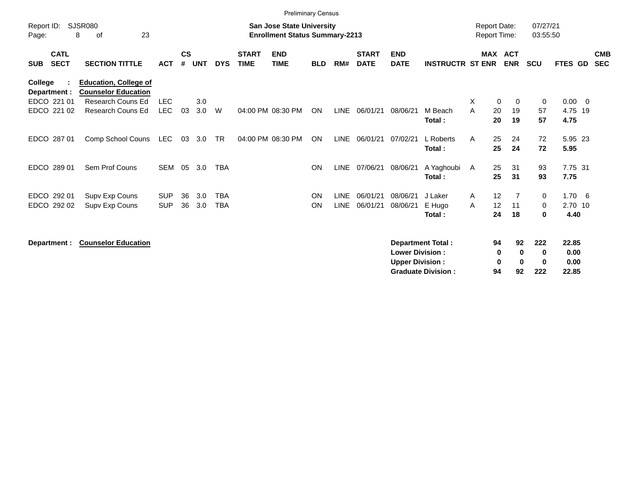|                                          |                                                            |                          |                    |            |                          |                             | <b>Preliminary Census</b>                                                 |                        |                            |                             |                                                  |                                                       |                                            |                                               |                                    |                                |                          |
|------------------------------------------|------------------------------------------------------------|--------------------------|--------------------|------------|--------------------------|-----------------------------|---------------------------------------------------------------------------|------------------------|----------------------------|-----------------------------|--------------------------------------------------|-------------------------------------------------------|--------------------------------------------|-----------------------------------------------|------------------------------------|--------------------------------|--------------------------|
| Report ID:<br>Page:                      | <b>SJSR080</b><br>23<br>8<br>οf                            |                          |                    |            |                          |                             | <b>San Jose State University</b><br><b>Enrollment Status Summary-2213</b> |                        |                            |                             |                                                  |                                                       | <b>Report Date:</b><br><b>Report Time:</b> |                                               | 07/27/21<br>03:55:50               |                                |                          |
| <b>CATL</b><br><b>SECT</b><br><b>SUB</b> | <b>SECTION TITTLE</b>                                      | <b>ACT</b>               | $\mathsf{cs}$<br># | <b>UNT</b> | <b>DYS</b>               | <b>START</b><br><b>TIME</b> | <b>END</b><br><b>TIME</b>                                                 | <b>BLD</b>             | RM#                        | <b>START</b><br><b>DATE</b> | <b>END</b><br><b>DATE</b>                        | <b>INSTRUCTR ST ENR</b>                               |                                            | MAX ACT<br><b>ENR</b>                         | <b>SCU</b>                         | <b>FTES GD</b>                 | <b>CMB</b><br><b>SEC</b> |
| College<br>Department :                  | <b>Education, College of</b><br><b>Counselor Education</b> |                          |                    |            |                          |                             |                                                                           |                        |                            |                             |                                                  |                                                       |                                            |                                               |                                    |                                |                          |
| EDCO 221 01<br>EDCO 221 02               | Research Couns Ed<br><b>Research Couns Ed</b>              | <b>LEC</b><br><b>LEC</b> | 03                 | 3.0<br>3.0 | W                        |                             | 04:00 PM 08:30 PM                                                         | ON                     | <b>LINE</b>                | 06/01/21                    | 08/06/21                                         | M Beach<br>Total:                                     | X<br>A<br>20<br>20                         | $\mathbf 0$<br>$\mathbf 0$<br>19<br>19        | $\mathbf 0$<br>57<br>57            | $0.00 \t 0$<br>4.75 19<br>4.75 |                          |
| EDCO 287 01                              | Comp School Couns                                          | LEC                      | 03                 | 3.0        | TR                       |                             | 04:00 PM 08:30 PM                                                         | ON                     | <b>LINE</b>                | 06/01/21                    | 07/02/21                                         | L Roberts<br>Total:                                   | 25<br>A<br>25                              | 24<br>24                                      | 72<br>72                           | 5.95 23<br>5.95                |                          |
| EDCO 289 01                              | Sem Prof Couns                                             | <b>SEM</b>               | 05                 | 3.0        | <b>TBA</b>               |                             |                                                                           | <b>ON</b>              | <b>LINE</b>                | 07/06/21                    | 08/06/21                                         | A Yaghoubi<br>Total:                                  | 25<br>$\mathsf{A}$<br>25                   | 31<br>31                                      | 93<br>93                           | 7.75 31<br>7.75                |                          |
| EDCO 292 01<br>EDCO 292 02               | Supv Exp Couns<br>Supv Exp Couns                           | <b>SUP</b><br><b>SUP</b> | 36<br>36           | 3.0<br>3.0 | <b>TBA</b><br><b>TBA</b> |                             |                                                                           | <b>ON</b><br><b>ON</b> | <b>LINE</b><br><b>LINE</b> | 06/01/21<br>06/01/21        | 08/06/21<br>08/06/21                             | J Laker<br>E Hugo<br>Total:                           | 12<br>A<br>12<br>A<br>24                   | 7<br>11<br>18                                 | 0<br>0<br>0                        | $1.70\ 6$<br>2.70 10<br>4.40   |                          |
| Department :                             | <b>Counselor Education</b>                                 |                          |                    |            |                          |                             |                                                                           |                        |                            |                             | <b>Lower Division:</b><br><b>Upper Division:</b> | <b>Department Total:</b><br><b>Graduate Division:</b> | 94<br>94                                   | 92<br>$\mathbf 0$<br>0<br>$\bf{0}$<br>0<br>92 | 222<br>$\bf{0}$<br>$\bf{0}$<br>222 | 22.85<br>0.00<br>0.00<br>22.85 |                          |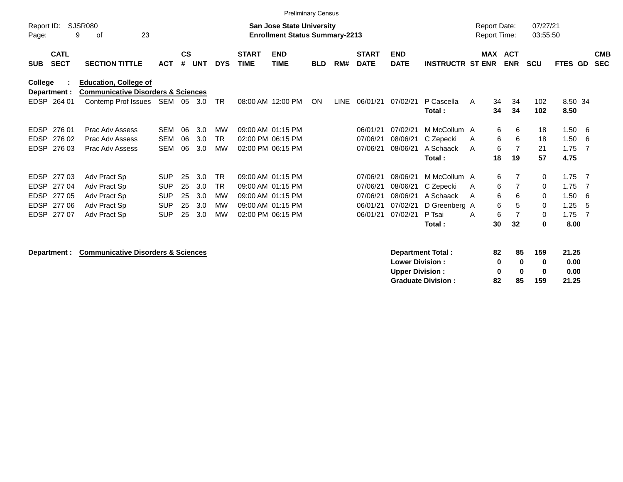|                     |                                                                               |                        |            |                    |            |            |                             | <b>Preliminary Census</b>                                                 |            |      |                             |                           |                         |                                            |    |                          |                      |                |     |                          |
|---------------------|-------------------------------------------------------------------------------|------------------------|------------|--------------------|------------|------------|-----------------------------|---------------------------------------------------------------------------|------------|------|-----------------------------|---------------------------|-------------------------|--------------------------------------------|----|--------------------------|----------------------|----------------|-----|--------------------------|
| Report ID:<br>Page: | 9                                                                             | SJSR080<br>23<br>оf    |            |                    |            |            |                             | <b>San Jose State University</b><br><b>Enrollment Status Summary-2213</b> |            |      |                             |                           |                         | <b>Report Date:</b><br><b>Report Time:</b> |    |                          | 07/27/21<br>03:55:50 |                |     |                          |
| <b>SUB</b>          | <b>CATL</b><br><b>SECT</b>                                                    | <b>SECTION TITTLE</b>  | <b>ACT</b> | $\mathsf{cs}$<br># | <b>UNT</b> | <b>DYS</b> | <b>START</b><br><b>TIME</b> | <b>END</b><br><b>TIME</b>                                                 | <b>BLD</b> | RM#  | <b>START</b><br><b>DATE</b> | <b>END</b><br><b>DATE</b> | <b>INSTRUCTR ST ENR</b> | <b>MAX</b>                                 |    | <b>ACT</b><br><b>ENR</b> | <b>SCU</b>           | <b>FTES GD</b> |     | <b>CMB</b><br><b>SEC</b> |
| College             | <b>Education, College of</b><br><b>Communicative Disorders &amp; Sciences</b> |                        |            |                    |            |            |                             |                                                                           |            |      |                             |                           |                         |                                            |    |                          |                      |                |     |                          |
|                     | Department :                                                                  |                        |            |                    |            |            |                             |                                                                           |            |      |                             |                           |                         |                                            |    |                          |                      |                |     |                          |
| EDSP                | 264 01                                                                        | Contemp Prof Issues    | SEM 05     |                    | 3.0        | <b>TR</b>  |                             | 08:00 AM 12:00 PM                                                         | ON         | LINE | 06/01/21                    | 07/02/21                  | P Cascella              | A                                          | 34 | 34                       | 102                  | 8.50 34        |     |                          |
|                     |                                                                               |                        |            |                    |            |            |                             |                                                                           |            |      |                             |                           | Total:                  |                                            | 34 | 34                       | 102                  | 8.50           |     |                          |
| <b>EDSP</b>         | 276 01                                                                        | Prac Adv Assess        | SEM        | 06                 | 3.0        | MW         |                             | 09:00 AM 01:15 PM                                                         |            |      | 06/01/21                    | 07/02/21                  | M McCollum A            |                                            | 6  | 6                        | 18                   | 1.50           | - 6 |                          |
| <b>EDSP</b>         | 276 02                                                                        | Prac Adv Assess        | <b>SEM</b> | 06                 | 3.0        | TR         |                             | 02:00 PM 06:15 PM                                                         |            |      | 07/06/21                    | 08/06/21                  | C Zepecki               | A                                          | 6  | 6                        | 18                   | 1.50           | -6  |                          |
| EDSP                | 276 03                                                                        | <b>Prac Adv Assess</b> | <b>SEM</b> | 06                 | 3.0        | <b>MW</b>  |                             | 02:00 PM 06:15 PM                                                         |            |      | 07/06/21                    | 08/06/21                  | A Schaack               | A                                          | 6  | 7                        | 21                   | 1.75           | - 7 |                          |
|                     |                                                                               |                        |            |                    |            |            |                             |                                                                           |            |      |                             |                           | Total:                  |                                            | 18 | 19                       | 57                   | 4.75           |     |                          |
| <b>EDSP</b>         | 277 03                                                                        | Adv Pract Sp           | <b>SUP</b> | 25                 | 3.0        | <b>TR</b>  |                             | 09:00 AM 01:15 PM                                                         |            |      | 07/06/21                    | 08/06/21                  | M McCollum A            |                                            | 6  | 7                        | 0                    | 1.75           | - 7 |                          |
| <b>EDSP</b>         | 277 04                                                                        | Adv Pract Sp           | <b>SUP</b> | 25                 | 3.0        | <b>TR</b>  |                             | 09:00 AM 01:15 PM                                                         |            |      | 07/06/21                    | 08/06/21                  | C Zepecki               | A                                          | 6  | 7                        | 0                    | 1.75           | -7  |                          |
| <b>EDSP</b>         | 277 05                                                                        | Adv Pract Sp           | <b>SUP</b> | 25                 | 3.0        | MW         |                             | 09:00 AM 01:15 PM                                                         |            |      | 07/06/21                    | 08/06/21                  | A Schaack               | A                                          | 6  | 6                        | 0                    | 1.50           | -6  |                          |
| <b>EDSP</b>         | 27706                                                                         | Adv Pract Sp           | <b>SUP</b> | 25                 | 3.0        | MW         |                             | 09:00 AM 01:15 PM                                                         |            |      | 06/01/21                    | 07/02/21                  | D Greenberg A           |                                            | 6  | 5                        | 0                    | 1.25           | -5  |                          |
| EDSP                | 277 07                                                                        | Adv Pract Sp           | <b>SUP</b> | 25                 | 3.0        | MW         |                             | 02:00 PM 06:15 PM                                                         |            |      | 06/01/21                    | 07/02/21                  | P Tsai                  | A                                          | 6  | $\overline{7}$           | 0                    | 1.75           | - 7 |                          |
|                     |                                                                               |                        |            |                    |            |            |                             |                                                                           |            |      |                             |                           | Total:                  |                                            | 30 | 32                       | 0                    | 8.00           |     |                          |
|                     |                                                                               |                        |            |                    |            |            |                             |                                                                           |            |      |                             |                           |                         |                                            |    |                          |                      |                |     |                          |

**Department :** Communicative Disorders & Sciences **Communicative Disorders & Sciences Department Total :** 82 85 159 21.25<br>Lower Division : 0 0 0 0.00 **Lower Division :**  $\begin{array}{ccc} 0 & 0 \\ 0 & 0 \end{array}$ **<br>
<b>Upper Division :**  $\begin{array}{ccc} 0 & 0 \\ 0 & 0 \end{array}$ **Upper Division : <br>
Graduate Division : <br>
82 85 159 21.25 Graduate Division : 82 85 159 21.25**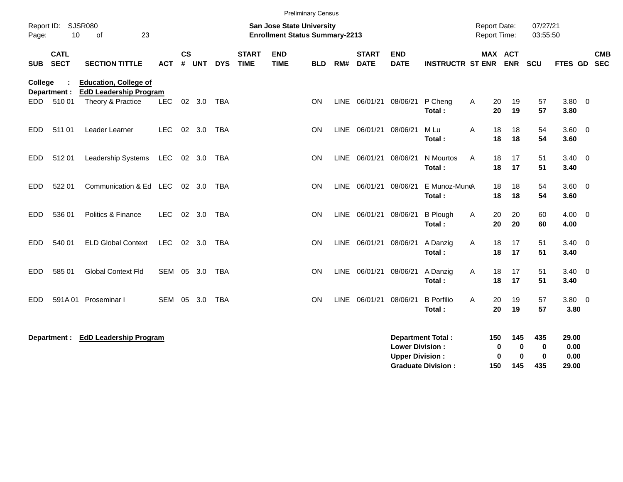| Page:            | Report ID: SJSR080<br>10   | 23<br>of                                                                           |            |               |                | <b>Preliminary Census</b><br><b>San Jose State University</b><br><b>Enrollment Status Summary-2213</b> |                             |                           |            |             |                             |                           | <b>Report Date:</b><br><b>Report Time:</b> |   | 07/27/21<br>03:55:50 |                              |                 |                    |                          |                          |
|------------------|----------------------------|------------------------------------------------------------------------------------|------------|---------------|----------------|--------------------------------------------------------------------------------------------------------|-----------------------------|---------------------------|------------|-------------|-----------------------------|---------------------------|--------------------------------------------|---|----------------------|------------------------------|-----------------|--------------------|--------------------------|--------------------------|
| <b>SUB</b>       | <b>CATL</b><br><b>SECT</b> | <b>SECTION TITTLE</b>                                                              | <b>ACT</b> | $\mathsf{cs}$ | # UNT          | <b>DYS</b>                                                                                             | <b>START</b><br><b>TIME</b> | <b>END</b><br><b>TIME</b> | <b>BLD</b> | RM#         | <b>START</b><br><b>DATE</b> | <b>END</b><br><b>DATE</b> | <b>INSTRUCTR ST ENR</b>                    |   |                      | <b>MAX ACT</b><br><b>ENR</b> | <b>SCU</b>      | FTES GD            |                          | <b>CMB</b><br><b>SEC</b> |
| College<br>EDD - | Department :<br>51001      | <b>Education, College of</b><br><b>EdD Leadership Program</b><br>Theory & Practice | <b>LEC</b> |               | 02 3.0         | <b>TBA</b>                                                                                             |                             |                           | <b>ON</b>  | <b>LINE</b> | 06/01/21                    | 08/06/21                  | P Cheng<br>Total:                          | A | 20<br>20             | 19<br>19                     | 57<br>57        | 3.80<br>3.80       | $\overline{\phantom{0}}$ |                          |
| EDD              | 511 01                     | Leader Learner                                                                     | <b>LEC</b> | 02            | 3.0            | <b>TBA</b>                                                                                             |                             |                           | ON         | <b>LINE</b> | 06/01/21                    | 08/06/21                  | M Lu<br>Total:                             | Α | 18<br>18             | 18<br>18                     | 54<br>54        | 3.60<br>3.60       | $\overline{\phantom{0}}$ |                          |
| EDD              | 51201                      | Leadership Systems                                                                 | <b>LEC</b> |               | 02 3.0         | TBA                                                                                                    |                             |                           | <b>ON</b>  | <b>LINE</b> | 06/01/21                    | 08/06/21                  | N Mourtos<br>Total:                        | A | 18<br>18             | 17<br>17                     | 51<br>51        | 3.40<br>3.40       | $\overline{\phantom{0}}$ |                          |
| <b>EDD</b>       | 522 01                     | Communication & Ed LEC                                                             |            |               | $02 \quad 3.0$ | <b>TBA</b>                                                                                             |                             |                           | <b>ON</b>  | <b>LINE</b> | 06/01/21                    | 08/06/21                  | E Munoz-MuncA<br>Total:                    |   | 18<br>18             | 18<br>18                     | 54<br>54        | $3.60 \ 0$<br>3.60 |                          |                          |
| <b>EDD</b>       | 536 01                     | Politics & Finance                                                                 | <b>LEC</b> | 02            | 3.0            | <b>TBA</b>                                                                                             |                             |                           | <b>ON</b>  |             | LINE 06/01/21 08/06/21      |                           | <b>B</b> Plough<br>Total:                  | A | 20<br>20             | 20<br>20                     | 60<br>60        | 4.00<br>4.00       | $\overline{\phantom{0}}$ |                          |
| EDD              | 540 01                     | <b>ELD Global Context</b>                                                          | <b>LEC</b> |               | 02 3.0         | <b>TBA</b>                                                                                             |                             |                           | <b>ON</b>  |             | LINE 06/01/21               | 08/06/21                  | A Danzig<br>Total:                         | Α | 18<br>18             | 17<br>17                     | 51<br>51        | $3.40 \ 0$<br>3.40 |                          |                          |
| EDD              | 585 01                     | <b>Global Context Fld</b>                                                          | SEM 05     |               | 3.0            | <b>TBA</b>                                                                                             |                             |                           | ON         |             | LINE 06/01/21               | 08/06/21                  | A Danzig<br>Total:                         | Α | 18<br>18             | 17<br>17                     | 51<br>51        | $3.40 \ 0$<br>3.40 |                          |                          |
| EDD              | 591A01                     | Proseminar I                                                                       | <b>SEM</b> | 05            | 3.0            | <b>TBA</b>                                                                                             |                             |                           | ON         | <b>LINE</b> | 06/01/21                    | 08/06/21                  | <b>B</b> Porfilio<br>Total:                | A | 20<br>20             | 19<br>19                     | 57<br>57        | 3.80 0<br>3.80     |                          |                          |
|                  | Department :               | <b>EdD Leadership Program</b>                                                      |            |               |                |                                                                                                        |                             |                           |            |             |                             | <b>Lower Division:</b>    | <b>Department Total:</b>                   |   | 150<br>0             | 145<br>$\mathbf{0}$          | 435<br>$\bf{0}$ | 29.00<br>0.00      |                          |                          |

**Upper Division :**  $\hspace{1.6cm} 0 \hspace{1.2cm} 0 \hspace{1.2cm} 0 \hspace{1.3cm} 0 \hspace{1.3cm} 0.00$ **Graduate Division : 150 145 435 29.00**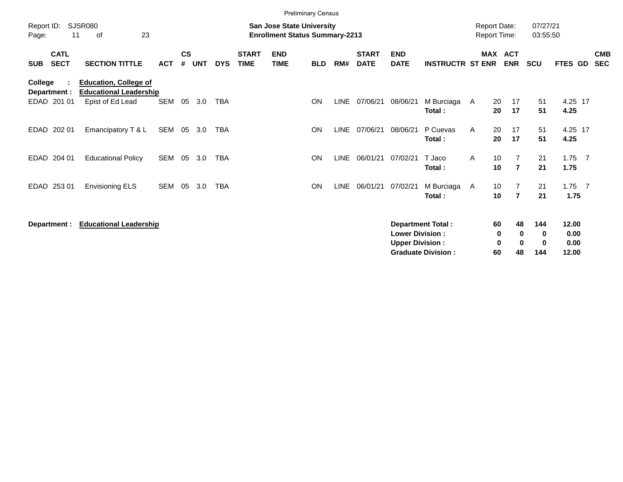|                                          |                                                               |            |                    |            |            |                             |                                                                           | <b>Preliminary Census</b> |             |                             |                                                  |                                                       |                     |                                                 |                      |                                |                          |
|------------------------------------------|---------------------------------------------------------------|------------|--------------------|------------|------------|-----------------------------|---------------------------------------------------------------------------|---------------------------|-------------|-----------------------------|--------------------------------------------------|-------------------------------------------------------|---------------------|-------------------------------------------------|----------------------|--------------------------------|--------------------------|
| Report ID:<br>11<br>Page:                | SJSR080<br>23<br>οf                                           |            |                    |            |            |                             | <b>San Jose State University</b><br><b>Enrollment Status Summary-2213</b> |                           |             |                             |                                                  |                                                       | <b>Report Date:</b> | <b>Report Time:</b>                             | 07/27/21<br>03:55:50 |                                |                          |
| <b>CATL</b><br><b>SECT</b><br><b>SUB</b> | <b>SECTION TITTLE</b>                                         | <b>ACT</b> | $\mathsf{cs}$<br># | <b>UNT</b> | <b>DYS</b> | <b>START</b><br><b>TIME</b> | <b>END</b><br><b>TIME</b>                                                 | <b>BLD</b>                | RM#         | <b>START</b><br><b>DATE</b> | <b>END</b><br><b>DATE</b>                        | <b>INSTRUCTR ST ENR</b>                               |                     | MAX ACT<br><b>ENR</b>                           | <b>SCU</b>           | FTES GD                        | <b>CMB</b><br><b>SEC</b> |
| <b>College</b><br>Department :           | <b>Education, College of</b><br><b>Educational Leadership</b> |            |                    |            |            |                             |                                                                           |                           |             |                             |                                                  |                                                       |                     |                                                 |                      |                                |                          |
| EDAD 201 01                              | Epist of Ed Lead                                              | SEM        | 05                 | 3.0        | <b>TBA</b> |                             |                                                                           | <b>ON</b>                 | <b>LINE</b> | 07/06/21                    | 08/06/21                                         | M Burciaga A<br>Total:                                |                     | 20<br>17<br>17<br>20                            | 51<br>51             | 4.25 17<br>4.25                |                          |
| 202 01<br>EDAD                           | Emancipatory T & L                                            | SEM        | 05                 | 3.0        | <b>TBA</b> |                             |                                                                           | <b>ON</b>                 | LINE        | 07/06/21                    | 08/06/21                                         | P Cuevas<br>Total:                                    | A                   | 20<br>17<br>17<br>20                            | 51<br>51             | 4.25 17<br>4.25                |                          |
| <b>EDAD</b><br>204 01                    | <b>Educational Policy</b>                                     | <b>SEM</b> | 05                 | 3.0        | <b>TBA</b> |                             |                                                                           | <b>ON</b>                 | <b>LINE</b> | 06/01/21                    | 07/02/21                                         | T Jaco<br>Total:                                      | A                   | 10<br>$\overline{7}$<br>$\overline{7}$<br>10    | 21<br>21             | $1.75$ 7<br>1.75               |                          |
| EDAD 253 01                              | <b>Envisioning ELS</b>                                        | SEM        | 05                 | 3.0        | <b>TBA</b> |                             |                                                                           | <b>ON</b>                 | <b>LINE</b> | 06/01/21                    | 07/02/21                                         | M Burciaga A<br>Total:                                |                     | $\overline{7}$<br>10<br>10<br>$\overline{7}$    | 21<br>21             | $1.75$ 7<br>1.75               |                          |
| Department :                             | <b>Educational Leadership</b>                                 |            |                    |            |            |                             |                                                                           |                           |             |                             | <b>Lower Division:</b><br><b>Upper Division:</b> | <b>Department Total:</b><br><b>Graduate Division:</b> |                     | 60<br>48<br>0<br>0<br>0<br>$\bf{0}$<br>60<br>48 | 144<br>0<br>0<br>144 | 12.00<br>0.00<br>0.00<br>12.00 |                          |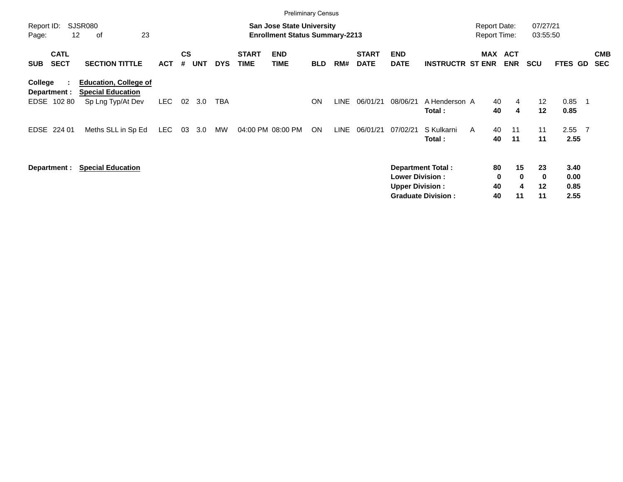|                                          | <b>Preliminary Census</b>                                                     |            |                             |            |            |                             |                                                                           |            |             |                             |                                                  |                                                       |                                            |                               |                               |                            |                              |                |                          |
|------------------------------------------|-------------------------------------------------------------------------------|------------|-----------------------------|------------|------------|-----------------------------|---------------------------------------------------------------------------|------------|-------------|-----------------------------|--------------------------------------------------|-------------------------------------------------------|--------------------------------------------|-------------------------------|-------------------------------|----------------------------|------------------------------|----------------|--------------------------|
| Report ID:<br>Page:                      | <b>SJSR080</b><br>23<br>$12 \overline{ }$<br>οf                               |            |                             |            |            |                             | <b>San Jose State University</b><br><b>Enrollment Status Summary-2213</b> |            |             |                             |                                                  |                                                       | <b>Report Date:</b><br><b>Report Time:</b> |                               |                               | 07/27/21<br>03:55:50       |                              |                |                          |
| <b>CATL</b><br><b>SECT</b><br><b>SUB</b> | <b>SECTION TITTLE</b>                                                         | <b>ACT</b> | $\mathbf{c}\mathbf{s}$<br># | <b>UNT</b> | <b>DYS</b> | <b>START</b><br><b>TIME</b> | <b>END</b><br><b>TIME</b>                                                 | <b>BLD</b> | RM#         | <b>START</b><br><b>DATE</b> | <b>END</b><br><b>DATE</b>                        | <b>INSTRUCTR ST ENR</b>                               |                                            |                               | MAX ACT<br><b>ENR</b>         | <b>SCU</b>                 | <b>FTES GD</b>               |                | <b>CMB</b><br><b>SEC</b> |
| College<br>Department :<br>EDSE 102 80   | <b>Education, College of</b><br><b>Special Education</b><br>Sp Lng Typ/At Dev | LEC        | 02                          | 3.0        | TBA        |                             |                                                                           | <b>ON</b>  | <b>LINE</b> | 06/01/21                    | 08/06/21                                         | A Henderson A<br>Total:                               |                                            | 40<br>40                      | 4<br>4                        | $12 \overline{ }$<br>12    | 0.85<br>0.85                 | - 1            |                          |
| EDSE<br>224 01                           | Meths SLL in Sp Ed                                                            | <b>LEC</b> | 03                          | 3.0        | MW         | 04:00 PM 08:00 PM           |                                                                           | ON         | <b>LINE</b> | 06/01/21                    | 07/02/21                                         | S Kulkarni<br>Total:                                  | A                                          | 40<br>40                      | 11<br>11                      | 11<br>11                   | 2.55<br>2.55                 | $\overline{7}$ |                          |
| Department :                             | <b>Special Education</b>                                                      |            |                             |            |            |                             |                                                                           |            |             |                             | <b>Lower Division:</b><br><b>Upper Division:</b> | <b>Department Total:</b><br><b>Graduate Division:</b> |                                            | 80<br>$\mathbf 0$<br>40<br>40 | 15<br>$\mathbf{0}$<br>4<br>11 | 23<br>$\bf{0}$<br>12<br>11 | 3.40<br>0.00<br>0.85<br>2.55 |                |                          |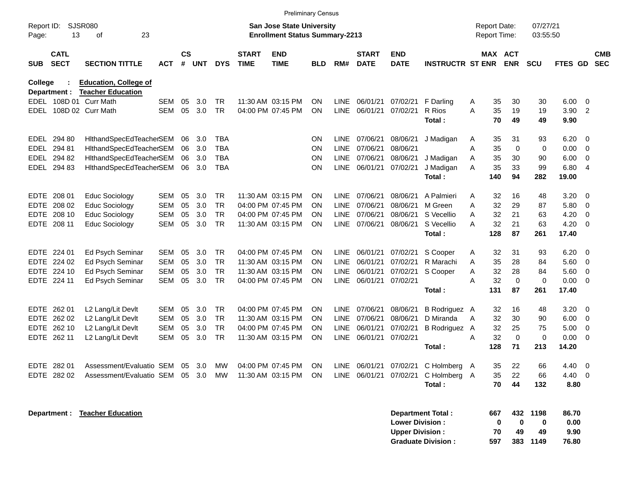|                     |                            |                                                          |            |                    |     |            |                             | <b>Preliminary Census</b>                                                 |            |             |                             |                                                  |                                     |   |                                            |                |                      |                       |                          |                          |
|---------------------|----------------------------|----------------------------------------------------------|------------|--------------------|-----|------------|-----------------------------|---------------------------------------------------------------------------|------------|-------------|-----------------------------|--------------------------------------------------|-------------------------------------|---|--------------------------------------------|----------------|----------------------|-----------------------|--------------------------|--------------------------|
| Report ID:<br>Page: | 13                         | SJSR080<br>23<br>οf                                      |            |                    |     |            |                             | <b>San Jose State University</b><br><b>Enrollment Status Summary-2213</b> |            |             |                             |                                                  |                                     |   | <b>Report Date:</b><br><b>Report Time:</b> |                | 07/27/21<br>03:55:50 |                       |                          |                          |
| <b>SUB</b>          | <b>CATL</b><br><b>SECT</b> | <b>SECTION TITTLE</b>                                    | ACT        | $\mathsf{cs}$<br># | UNT | <b>DYS</b> | <b>START</b><br><b>TIME</b> | <b>END</b><br><b>TIME</b>                                                 | <b>BLD</b> | RM#         | <b>START</b><br><b>DATE</b> | <b>END</b><br><b>DATE</b>                        | <b>INSTRUCTR ST ENR</b>             |   | <b>MAX ACT</b>                             | <b>ENR</b>     | <b>SCU</b>           | <b>FTES GD</b>        |                          | <b>CMB</b><br><b>SEC</b> |
| College             | Department :               | <b>Education, College of</b><br><b>Teacher Education</b> |            |                    |     |            |                             |                                                                           |            |             |                             |                                                  |                                     |   |                                            |                |                      |                       |                          |                          |
|                     |                            | EDEL 108D 01 Curr Math                                   | <b>SEM</b> | 05                 | 3.0 | TR         |                             | 11:30 AM 03:15 PM                                                         | <b>ON</b>  | <b>LINE</b> | 06/01/21                    | 07/02/21                                         | F Darling                           | Α | 35                                         | 30             | 30                   | 6.00                  | - 0                      |                          |
|                     |                            | EDEL 108D 02 Curr Math                                   | <b>SEM</b> | 05                 | 3.0 | <b>TR</b>  |                             | 04:00 PM 07:45 PM                                                         | <b>ON</b>  | <b>LINE</b> | 06/01/21                    | 07/02/21                                         | R Rios<br>Total:                    | A | 35<br>70                                   | 19<br>49       | 19<br>49             | 3.90<br>9.90          | $\overline{2}$           |                          |
| EDEL                | 294 80                     | HithandSpecEdTeacherSEM                                  |            | 06                 | 3.0 | TBA        |                             |                                                                           | <b>ON</b>  | <b>LINE</b> | 07/06/21                    | 08/06/21                                         | J Madigan                           | A | 35                                         | 31             | 93                   | 6.20                  | - 0                      |                          |
| EDEL                | 294 81                     | HithandSpecEdTeacherSEM                                  |            | 06                 | 3.0 | <b>TBA</b> |                             |                                                                           | <b>ON</b>  | <b>LINE</b> | 07/06/21                    | 08/06/21                                         |                                     | A | 35                                         | $\mathbf 0$    | $\mathbf 0$          | 0.00                  | $\mathbf 0$              |                          |
| EDEL                | 294 82                     | HithandSpecEdTeacherSEM                                  |            | 06                 | 3.0 | <b>TBA</b> |                             |                                                                           | <b>ON</b>  | <b>LINE</b> | 07/06/21                    | 08/06/21                                         | J Madigan                           | Α | 35                                         | 30             | 90                   | 6.00                  | $\mathbf 0$              |                          |
| EDEL                | 294 83                     | HithandSpecEdTeacherSEM                                  |            | 06                 | 3.0 | <b>TBA</b> |                             |                                                                           | <b>ON</b>  | <b>LINE</b> | 06/01/21                    | 07/02/21                                         | J Madigan                           | A | 35                                         | 33             | 99                   | 6.80                  | $\overline{4}$           |                          |
|                     |                            |                                                          |            |                    |     |            |                             |                                                                           |            |             |                             |                                                  | Total:                              |   | 140                                        | 94             | 282                  | 19.00                 |                          |                          |
| <b>EDTE</b>         | 208 01                     | <b>Educ Sociology</b>                                    | <b>SEM</b> | 05                 | 3.0 | <b>TR</b>  |                             | 11:30 AM 03:15 PM                                                         | <b>ON</b>  | <b>LINE</b> | 07/06/21                    | 08/06/21                                         | A Palmieri                          | A | 32                                         | 16             | 48                   | 3.20                  | - 0                      |                          |
| <b>EDTE</b>         | 208 02                     | <b>Educ Sociology</b>                                    | <b>SEM</b> | 05                 | 3.0 | <b>TR</b>  |                             | 04:00 PM 07:45 PM                                                         | <b>ON</b>  | <b>LINE</b> | 07/06/21                    | 08/06/21                                         | M Green                             | A | 32                                         | 29             | 87                   | 5.80                  | $\mathbf 0$              |                          |
| <b>EDTE</b>         | 208 10                     | <b>Educ Sociology</b>                                    | <b>SEM</b> | 05                 | 3.0 | <b>TR</b>  |                             | 04:00 PM 07:45 PM                                                         | <b>ON</b>  | <b>LINE</b> | 07/06/21                    | 08/06/21                                         | S Vecellio                          | A | 32                                         | 21             | 63                   | 4.20                  | $\mathbf 0$              |                          |
| <b>EDTE</b>         | 208 11                     | <b>Educ Sociology</b>                                    | <b>SEM</b> | 05                 | 3.0 | <b>TR</b>  |                             | 11:30 AM 03:15 PM                                                         | <b>ON</b>  | LINE        | 07/06/21                    | 08/06/21                                         | S Vecellio                          | A | 32                                         | 21             | 63                   | 4.20                  | $\overline{0}$           |                          |
|                     |                            |                                                          |            |                    |     |            |                             |                                                                           |            |             |                             |                                                  | Total:                              |   | 128                                        | 87             | 261                  | 17.40                 |                          |                          |
| <b>EDTE</b>         | 224 01                     | Ed Psych Seminar                                         | <b>SEM</b> | 05                 | 3.0 | <b>TR</b>  |                             | 04:00 PM 07:45 PM                                                         | <b>ON</b>  | LINE        | 06/01/21                    | 07/02/21                                         | S Cooper                            | A | 32                                         | 31             | 93                   | 6.20                  | - 0                      |                          |
| <b>EDTE</b>         | 224 02                     | Ed Psych Seminar                                         | <b>SEM</b> | 05                 | 3.0 | <b>TR</b>  |                             | 11:30 AM 03:15 PM                                                         | <b>ON</b>  | <b>LINE</b> | 06/01/21                    | 07/02/21                                         | R Marachi                           | A | 35                                         | 28             | 84                   | 5.60                  | - 0                      |                          |
| <b>EDTE</b>         | 224 10                     | Ed Psych Seminar                                         | <b>SEM</b> | 05                 | 3.0 | <b>TR</b>  |                             | 11:30 AM 03:15 PM                                                         | <b>ON</b>  | <b>LINE</b> | 06/01/21                    | 07/02/21                                         | S Cooper                            | A | 32                                         | 28             | 84                   | 5.60                  | $\overline{0}$           |                          |
| EDTE                | 224 11                     | Ed Psych Seminar                                         | <b>SEM</b> | 05                 | 3.0 | <b>TR</b>  |                             | 04:00 PM 07:45 PM                                                         | <b>ON</b>  | <b>LINE</b> | 06/01/21                    | 07/02/21                                         |                                     | A | 32                                         | $\mathbf 0$    | $\Omega$             | 0.00                  | $\overline{0}$           |                          |
|                     |                            |                                                          |            |                    |     |            |                             |                                                                           |            |             |                             |                                                  | Total:                              |   | 131                                        | 87             | 261                  | 17.40                 |                          |                          |
| <b>EDTE</b>         | 262 01                     | L2 Lang/Lit Devlt                                        | <b>SEM</b> | 05                 | 3.0 | <b>TR</b>  |                             | 04:00 PM 07:45 PM                                                         | <b>ON</b>  | <b>LINE</b> | 07/06/21                    | 08/06/21                                         | B Rodriguez A                       |   | 32                                         | 16             | 48                   | 3.20                  | - 0                      |                          |
| <b>EDTE</b>         | 262 02                     | L2 Lang/Lit Devlt                                        | <b>SEM</b> | 05                 | 3.0 | <b>TR</b>  |                             | 11:30 AM 03:15 PM                                                         | <b>ON</b>  | <b>LINE</b> | 07/06/21                    | 08/06/21                                         | D Miranda                           | A | 32                                         | 30             | 90                   | 6.00                  | 0                        |                          |
| <b>EDTE</b>         | 262 10                     | L2 Lang/Lit Devlt                                        | <b>SEM</b> | 05                 | 3.0 | <b>TR</b>  |                             | 04:00 PM 07:45 PM                                                         | <b>ON</b>  | <b>LINE</b> | 06/01/21                    | 07/02/21                                         | B Rodriguez A                       |   | 32                                         | 25             | 75                   | 5.00                  | $\overline{0}$           |                          |
| <b>EDTE</b>         | 262 11                     | L2 Lang/Lit Devlt                                        | <b>SEM</b> | 05                 | 3.0 | <b>TR</b>  |                             | 11:30 AM 03:15 PM                                                         | <b>ON</b>  | <b>LINE</b> | 06/01/21                    | 07/02/21                                         |                                     | A | 32                                         | $\mathbf 0$    | $\mathbf 0$          | 0.00                  | 0                        |                          |
|                     |                            |                                                          |            |                    |     |            |                             |                                                                           |            |             |                             |                                                  | Total:                              |   | 128                                        | 71             | 213                  | 14.20                 |                          |                          |
|                     | EDTE 282 01                | Assessment/Evaluatio SEM 05                              |            |                    | 3.0 | МW         |                             | 04:00 PM 07:45 PM                                                         | <b>ON</b>  |             |                             |                                                  | LINE 06/01/21 07/02/21 C Holmberg A |   | 35                                         | 22             | 66                   | 4.40                  | $\overline{\mathbf{0}}$  |                          |
|                     | EDTE 282 02                | Assessment/Evaluatio SEM                                 |            | 05                 | 3.0 | MW         |                             | 11:30 AM 03:15 PM                                                         | <b>ON</b>  |             | LINE 06/01/21               |                                                  | 07/02/21 C Holmberg A               |   | 35                                         | 22             | 66                   | 4.40                  | $\overline{\phantom{0}}$ |                          |
|                     |                            |                                                          |            |                    |     |            |                             |                                                                           |            |             |                             |                                                  | Total:                              |   | 70                                         | 44             | 132                  | 8.80                  |                          |                          |
|                     | Department :               | <b>Teacher Education</b>                                 |            |                    |     |            |                             |                                                                           |            |             |                             | <b>Lower Division:</b><br><b>Upper Division:</b> | Department Total:                   |   | 667<br>0<br>70                             | 432<br>0<br>49 | 1198<br>0<br>49      | 86.70<br>0.00<br>9.90 |                          |                          |
|                     |                            |                                                          |            |                    |     |            |                             |                                                                           |            |             |                             |                                                  | <b>Graduate Division:</b>           |   | 597                                        |                | 383 1149             | 76.80                 |                          |                          |